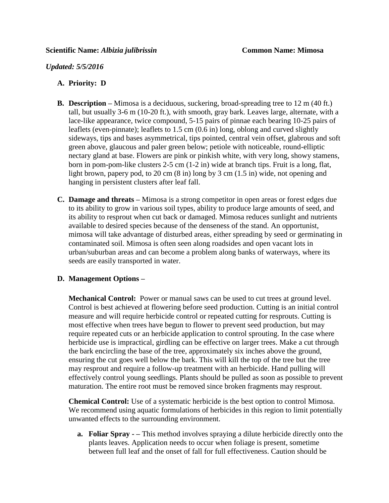*Updated: 5/5/2016*

## **A. Priority: D**

- **B. Description –** Mimosa is a deciduous, suckering, broad-spreading tree to 12 m (40 ft.) tall, but usually 3-6 m (10-20 ft.), with smooth, gray bark. Leaves large, alternate, with a lace-like appearance, twice compound, 5-15 pairs of pinnae each bearing 10-25 pairs of leaflets (even-pinnate); leaflets to 1.5 cm (0.6 in) long, oblong and curved slightly sideways, tips and bases asymmetrical, tips pointed, central vein offset, glabrous and soft green above, glaucous and paler green below; petiole with noticeable, round-elliptic nectary gland at base. Flowers are pink or pinkish white, with very long, showy stamens, born in pom-pom-like clusters 2-5 cm (1-2 in) wide at branch tips. Fruit is a long, flat, light brown, papery pod, to 20 cm (8 in) long by 3 cm (1.5 in) wide, not opening and hanging in persistent clusters after leaf fall.
- **C. Damage and threats –** Mimosa is a strong competitor in open areas or forest edges due to its ability to grow in various soil types, ability to produce large amounts of seed, and its ability to resprout when cut back or damaged. Mimosa reduces sunlight and nutrients available to desired species because of the denseness of the stand. An opportunist, mimosa will take advantage of disturbed areas, either spreading by seed or germinating in contaminated soil. Mimosa is often seen along roadsides and open vacant lots in urban/suburban areas and can become a problem along banks of waterways, where its seeds are easily transported in water.

## **D. Management Options –**

**Mechanical Control:** Power or manual saws can be used to cut trees at ground level. Control is best achieved at flowering before seed production. Cutting is an initial control measure and will require herbicide control or repeated cutting for resprouts. Cutting is most effective when trees have begun to flower to prevent seed production, but may require repeated cuts or an herbicide application to control sprouting. In the case where herbicide use is impractical, girdling can be effective on larger trees. Make a cut through the bark encircling the base of the tree, approximately six inches above the ground, ensuring the cut goes well below the bark. This will kill the top of the tree but the tree may resprout and require a follow-up treatment with an herbicide. Hand pulling will effectively control young seedlings. Plants should be pulled as soon as possible to prevent maturation. The entire root must be removed since broken fragments may resprout.

**Chemical Control:** Use of a systematic herbicide is the best option to control Mimosa. We recommend using aquatic formulations of herbicides in this region to limit potentially unwanted effects to the surrounding environment.

**a. Foliar Spray - –** This method involves spraying a dilute herbicide directly onto the plants leaves. Application needs to occur when foliage is present, sometime between full leaf and the onset of fall for full effectiveness. Caution should be